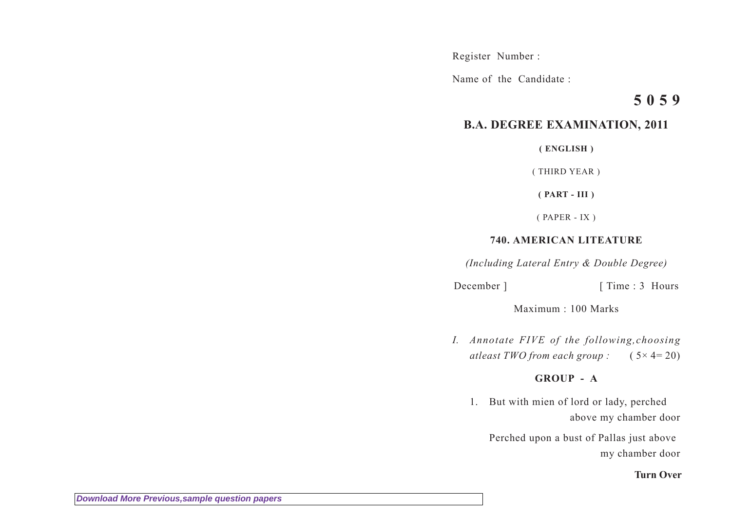Register Number :

Name of the Candidate :

# **5 0 5 9**

# **B.A. DEGREE EXAMINATION, 2011**

**( ENGLISH )**

( THIRD YEAR )

**( PART - III )**

( PAPER - IX )

### **740. AMERICAN LITEATURE**

*(Including Lateral Entry & Double Degree)*

December ] [ Time : 3 Hours

Maximum : 100 Marks

*I. Annotate FIVE of the following,choosing atleast TWO from each group :* ( 5× 4= 20)

## **GROUP - A**

1. But with mien of lord or lady, perched above my chamber door

Perched upon a bust of Pallas just above my chamber door

**Turn Over**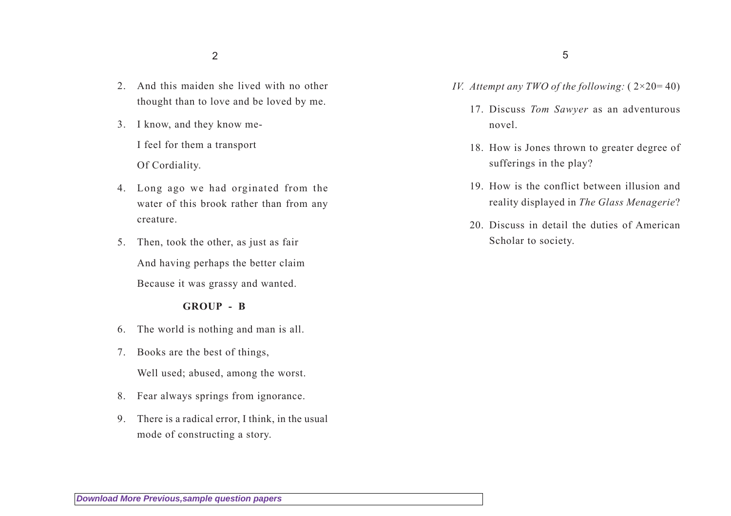- 2. And this maiden she lived with no other thought than to love and be loved by me.
- 3. I know, and they know me-I feel for them a transport Of Cordiality.
- 4. Long ago we had orginated from the water of this brook rather than from any creature.
- 5. Then, took the other, as just as fair And having perhaps the better claim Because it was grassy and wanted.

#### **GROUP - B**

- 6. The world is nothing and man is all.
- 7. Books are the best of things, Well used; abused, among the worst.
- 8. Fear always springs from ignorance.
- 9. There is a radical error, I think, in the usual mode of constructing a story.
- *IV. Attempt any TWO of the following:*  $(2 \times 20 = 40)$ 
	- 17. Discuss *Tom Sawyer* as an adventurous novel.
	- 18. How is Jones thrown to greater degree of sufferings in the play?
	- 19. How is the conflict between illusion and reality displayed in *The Glass Menagerie*?
	- 20. Discuss in detail the duties of American Scholar to society.